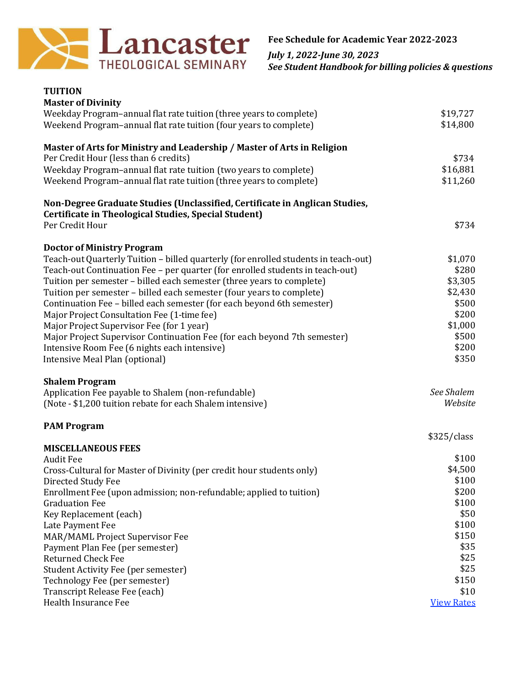

*July 1, 2022-June 30, 2023 See Student Handbook for billing policies & questions*

| <b>TUITION</b>                                                                                                                      |                   |
|-------------------------------------------------------------------------------------------------------------------------------------|-------------------|
| <b>Master of Divinity</b>                                                                                                           |                   |
| Weekday Program-annual flat rate tuition (three years to complete)                                                                  | \$19,727          |
| Weekend Program-annual flat rate tuition (four years to complete)                                                                   | \$14,800          |
| Master of Arts for Ministry and Leadership / Master of Arts in Religion                                                             |                   |
| Per Credit Hour (less than 6 credits)                                                                                               | \$734             |
| Weekday Program-annual flat rate tuition (two years to complete)                                                                    | \$16,881          |
| Weekend Program-annual flat rate tuition (three years to complete)                                                                  | \$11,260          |
| Non-Degree Graduate Studies (Unclassified, Certificate in Anglican Studies,<br>Certificate in Theological Studies, Special Student) |                   |
| Per Credit Hour                                                                                                                     | \$734             |
| <b>Doctor of Ministry Program</b>                                                                                                   |                   |
| Teach-out Quarterly Tuition - billed quarterly (for enrolled students in teach-out)                                                 | \$1,070           |
| Teach-out Continuation Fee - per quarter (for enrolled students in teach-out)                                                       | \$280             |
| Tuition per semester - billed each semester (three years to complete)                                                               | \$3,305           |
| Tuition per semester - billed each semester (four years to complete)                                                                | \$2,430           |
| Continuation Fee - billed each semester (for each beyond 6th semester)                                                              | \$500             |
| Major Project Consultation Fee (1-time fee)                                                                                         | \$200             |
| Major Project Supervisor Fee (for 1 year)                                                                                           | \$1,000           |
| Major Project Supervisor Continuation Fee (for each beyond 7th semester)                                                            | \$500             |
| Intensive Room Fee (6 nights each intensive)                                                                                        | \$200             |
| Intensive Meal Plan (optional)                                                                                                      | \$350             |
| <b>Shalem Program</b>                                                                                                               |                   |
| Application Fee payable to Shalem (non-refundable)                                                                                  | See Shalem        |
| (Note - \$1,200 tuition rebate for each Shalem intensive)                                                                           | Website           |
| <b>PAM Program</b>                                                                                                                  |                   |
|                                                                                                                                     | \$325/class       |
| <b>MISCELLANEOUS FEES</b>                                                                                                           |                   |
| <b>Audit Fee</b>                                                                                                                    | \$100             |
| Cross-Cultural for Master of Divinity (per credit hour students only)                                                               | \$4,500           |
| Directed Study Fee                                                                                                                  | \$100             |
| Enrollment Fee (upon admission; non-refundable; applied to tuition)                                                                 | \$200             |
| <b>Graduation Fee</b>                                                                                                               | \$100             |
| Key Replacement (each)                                                                                                              | \$50              |
| Late Payment Fee                                                                                                                    | \$100             |
| MAR/MAML Project Supervisor Fee                                                                                                     | \$150             |
| Payment Plan Fee (per semester)                                                                                                     | \$35              |
| <b>Returned Check Fee</b>                                                                                                           | \$25              |
| <b>Student Activity Fee (per semester)</b>                                                                                          | \$25              |
| Technology Fee (per semester)                                                                                                       | \$150             |
| Transcript Release Fee (each)                                                                                                       | \$10              |
| Health Insurance Fee                                                                                                                | <b>View Rates</b> |